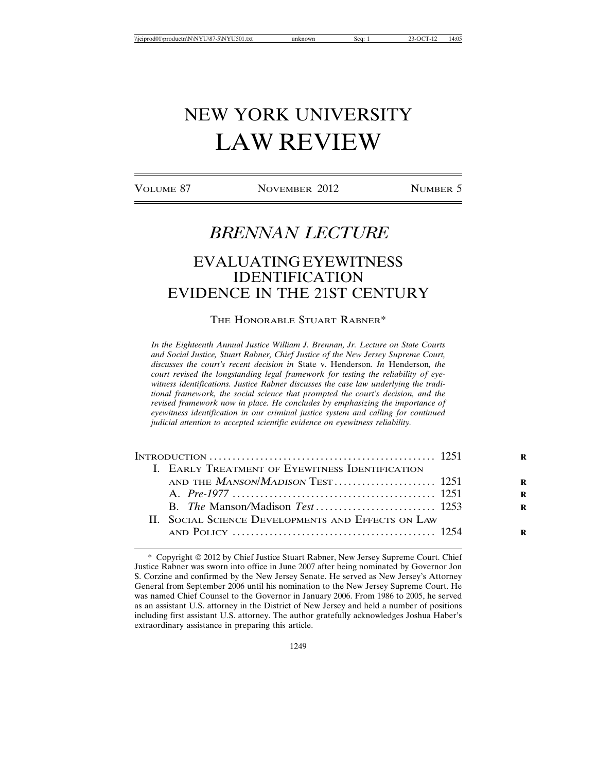# NEW YORK UNIVERSITY LAW REVIEW

VOLUME 87 NOVEMBER 2012 NUMBER 5

# *BRENNAN LECTURE*

# EVALUATING EYEWITNESS IDENTIFICATION EVIDENCE IN THE 21ST CENTURY

#### THE HONORABLE STUART RABNER\*

*In the Eighteenth Annual Justice William J. Brennan, Jr. Lecture on State Courts and Social Justice, Stuart Rabner, Chief Justice of the New Jersey Supreme Court, discusses the court's recent decision in* State v. Henderson*. In* Henderson*, the court revised the longstanding legal framework for testing the reliability of eyewitness identifications. Justice Rabner discusses the case law underlying the traditional framework, the social science that prompted the court's decision, and the revised framework now in place. He concludes by emphasizing the importance of eyewitness identification in our criminal justice system and calling for continued judicial attention to accepted scientific evidence on eyewitness reliability.*

|  | I. EARLY TREATMENT OF EYEWITNESS IDENTIFICATION    |  |
|--|----------------------------------------------------|--|
|  |                                                    |  |
|  |                                                    |  |
|  |                                                    |  |
|  | II. SOCIAL SCIENCE DEVELOPMENTS AND EFFECTS ON LAW |  |
|  |                                                    |  |

<sup>\*</sup> Copyright 2012 by Chief Justice Stuart Rabner, New Jersey Supreme Court. Chief Justice Rabner was sworn into office in June 2007 after being nominated by Governor Jon S. Corzine and confirmed by the New Jersey Senate. He served as New Jersey's Attorney General from September 2006 until his nomination to the New Jersey Supreme Court. He was named Chief Counsel to the Governor in January 2006. From 1986 to 2005, he served as an assistant U.S. attorney in the District of New Jersey and held a number of positions including first assistant U.S. attorney. The author gratefully acknowledges Joshua Haber's extraordinary assistance in preparing this article.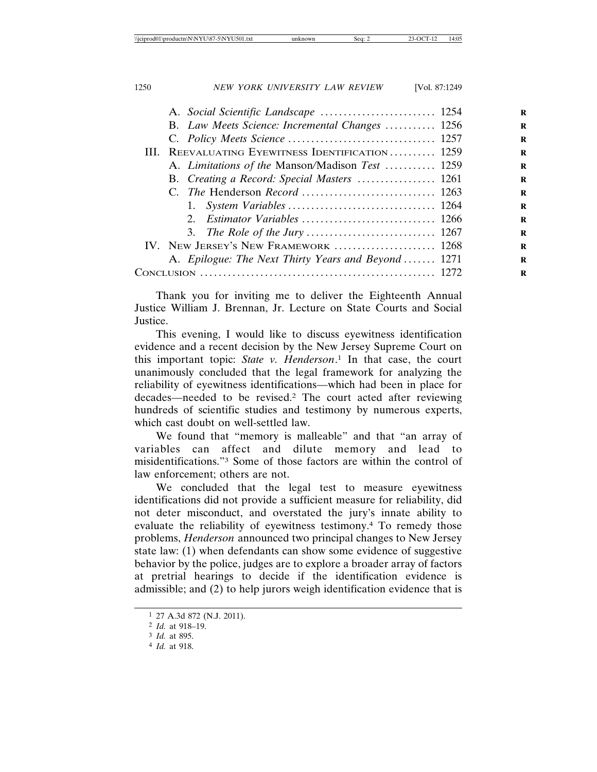|      | B. Law Meets Science: Incremental Changes  1256    |  |
|------|----------------------------------------------------|--|
|      |                                                    |  |
|      | III. REEVALUATING EYEWITNESS IDENTIFICATION 1259   |  |
|      | A. Limitations of the Manson/Madison Test  1259    |  |
|      | B. Creating a Record: Special Masters  1261        |  |
|      |                                                    |  |
|      |                                                    |  |
|      |                                                    |  |
|      |                                                    |  |
|      | IV. NEW JERSEY'S NEW FRAMEWORK  1268               |  |
|      | A. Epilogue: The Next Thirty Years and Beyond 1271 |  |
| C`ON |                                                    |  |
|      |                                                    |  |

Thank you for inviting me to deliver the Eighteenth Annual Justice William J. Brennan, Jr. Lecture on State Courts and Social Justice.

This evening, I would like to discuss eyewitness identification evidence and a recent decision by the New Jersey Supreme Court on this important topic: *State v. Henderson*. 1 In that case, the court unanimously concluded that the legal framework for analyzing the reliability of eyewitness identifications—which had been in place for decades—needed to be revised.2 The court acted after reviewing hundreds of scientific studies and testimony by numerous experts, which cast doubt on well-settled law.

We found that "memory is malleable" and that "an array of variables can affect and dilute memory and lead to misidentifications."3 Some of those factors are within the control of law enforcement; others are not.

We concluded that the legal test to measure eyewitness identifications did not provide a sufficient measure for reliability, did not deter misconduct, and overstated the jury's innate ability to evaluate the reliability of eyewitness testimony.4 To remedy those problems, *Henderson* announced two principal changes to New Jersey state law: (1) when defendants can show some evidence of suggestive behavior by the police, judges are to explore a broader array of factors at pretrial hearings to decide if the identification evidence is admissible; and (2) to help jurors weigh identification evidence that is

<sup>1</sup> 27 A.3d 872 (N.J. 2011).

<sup>2</sup> *Id.* at 918–19.

<sup>3</sup> *Id.* at 895.

<sup>4</sup> *Id.* at 918.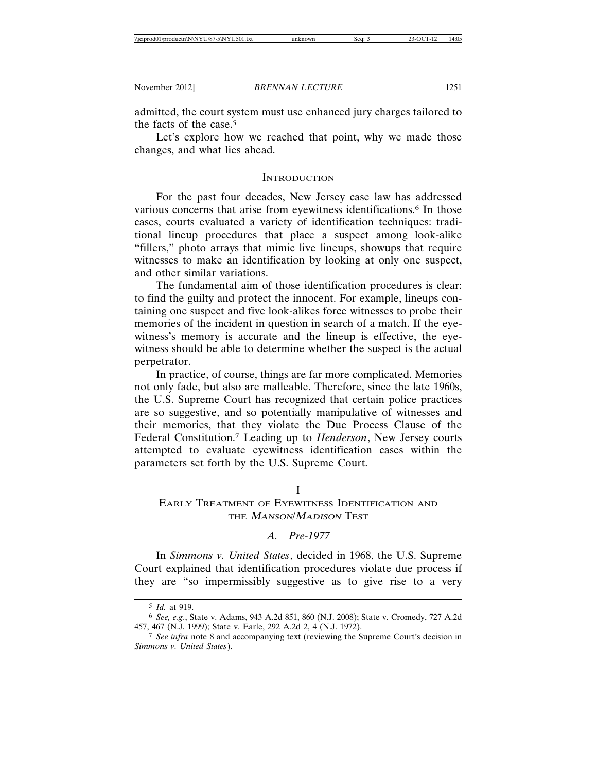admitted, the court system must use enhanced jury charges tailored to the facts of the case.5

Let's explore how we reached that point, why we made those changes, and what lies ahead.

#### **INTRODUCTION**

For the past four decades, New Jersey case law has addressed various concerns that arise from eyewitness identifications.<sup>6</sup> In those cases, courts evaluated a variety of identification techniques: traditional lineup procedures that place a suspect among look-alike "fillers," photo arrays that mimic live lineups, showups that require witnesses to make an identification by looking at only one suspect, and other similar variations.

The fundamental aim of those identification procedures is clear: to find the guilty and protect the innocent. For example, lineups containing one suspect and five look-alikes force witnesses to probe their memories of the incident in question in search of a match. If the eyewitness's memory is accurate and the lineup is effective, the eyewitness should be able to determine whether the suspect is the actual perpetrator.

In practice, of course, things are far more complicated. Memories not only fade, but also are malleable. Therefore, since the late 1960s, the U.S. Supreme Court has recognized that certain police practices are so suggestive, and so potentially manipulative of witnesses and their memories, that they violate the Due Process Clause of the Federal Constitution.7 Leading up to *Henderson*, New Jersey courts attempted to evaluate eyewitness identification cases within the parameters set forth by the U.S. Supreme Court.

I

# EARLY TREATMENT OF EYEWITNESS IDENTIFICATION AND THE *MANSON/MADISON* TEST

#### *A. Pre-1977*

In *Simmons v. United States*, decided in 1968, the U.S. Supreme Court explained that identification procedures violate due process if they are "so impermissibly suggestive as to give rise to a very

<sup>5</sup> *Id.* at 919.

<sup>6</sup> *See, e.g.*, State v. Adams, 943 A.2d 851, 860 (N.J. 2008); State v. Cromedy, 727 A.2d 457, 467 (N.J. 1999); State v. Earle, 292 A.2d 2, 4 (N.J. 1972).

<sup>7</sup> *See infra* note 8 and accompanying text (reviewing the Supreme Court's decision in *Simmons v. United States*).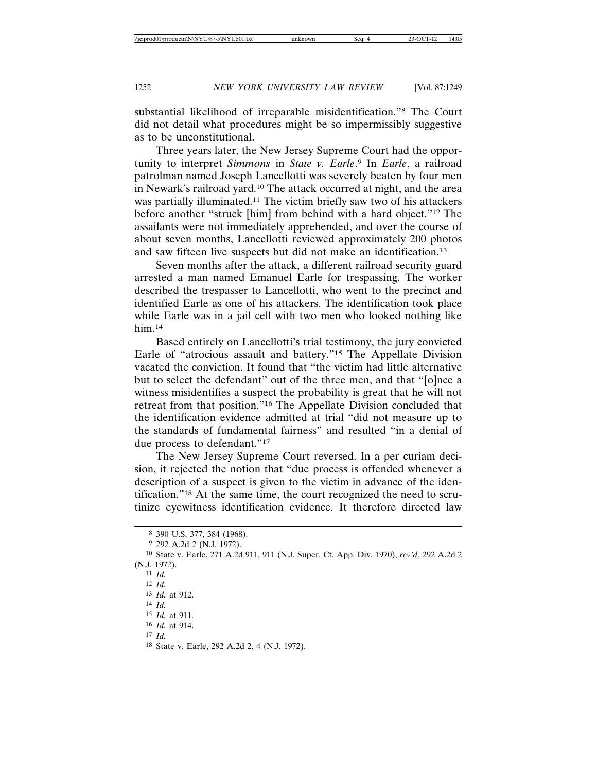substantial likelihood of irreparable misidentification."8 The Court did not detail what procedures might be so impermissibly suggestive as to be unconstitutional.

Three years later, the New Jersey Supreme Court had the opportunity to interpret *Simmons* in *State v. Earle*. 9 In *Earle*, a railroad patrolman named Joseph Lancellotti was severely beaten by four men in Newark's railroad yard.10 The attack occurred at night, and the area was partially illuminated.11 The victim briefly saw two of his attackers before another "struck [him] from behind with a hard object."12 The assailants were not immediately apprehended, and over the course of about seven months, Lancellotti reviewed approximately 200 photos and saw fifteen live suspects but did not make an identification.13

Seven months after the attack, a different railroad security guard arrested a man named Emanuel Earle for trespassing. The worker described the trespasser to Lancellotti, who went to the precinct and identified Earle as one of his attackers. The identification took place while Earle was in a jail cell with two men who looked nothing like him.14

Based entirely on Lancellotti's trial testimony, the jury convicted Earle of "atrocious assault and battery."15 The Appellate Division vacated the conviction. It found that "the victim had little alternative but to select the defendant" out of the three men, and that "[o]nce a witness misidentifies a suspect the probability is great that he will not retreat from that position."16 The Appellate Division concluded that the identification evidence admitted at trial "did not measure up to the standards of fundamental fairness" and resulted "in a denial of due process to defendant."17

The New Jersey Supreme Court reversed. In a per curiam decision, it rejected the notion that "due process is offended whenever a description of a suspect is given to the victim in advance of the identification."18 At the same time, the court recognized the need to scrutinize eyewitness identification evidence. It therefore directed law

- 13 *Id.* at 912.
- 14 *Id.*

17 *Id.*

<sup>8</sup> 390 U.S. 377, 384 (1968).

<sup>9</sup> 292 A.2d 2 (N.J. 1972).

<sup>10</sup> State v. Earle, 271 A.2d 911, 911 (N.J. Super. Ct. App. Div. 1970), *rev'd*, 292 A.2d 2 (N.J. 1972).

<sup>11</sup> *Id.*

<sup>12</sup> *Id.*

<sup>15</sup> *Id.* at 911. 16 *Id.* at 914.

<sup>18</sup> State v. Earle, 292 A.2d 2, 4 (N.J. 1972).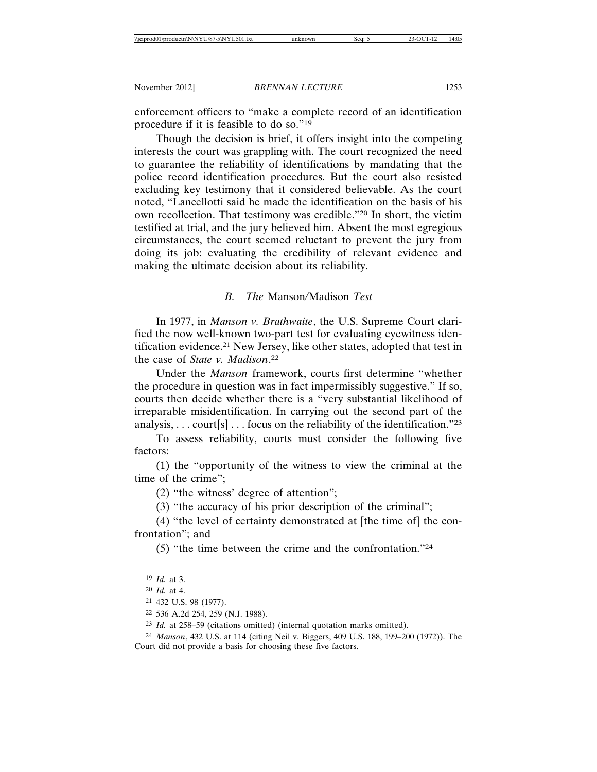enforcement officers to "make a complete record of an identification procedure if it is feasible to do so."19

Though the decision is brief, it offers insight into the competing interests the court was grappling with. The court recognized the need to guarantee the reliability of identifications by mandating that the police record identification procedures. But the court also resisted excluding key testimony that it considered believable. As the court noted, "Lancellotti said he made the identification on the basis of his own recollection. That testimony was credible."20 In short, the victim testified at trial, and the jury believed him. Absent the most egregious circumstances, the court seemed reluctant to prevent the jury from doing its job: evaluating the credibility of relevant evidence and making the ultimate decision about its reliability.

# *B. The* Manson*/*Madison *Test*

In 1977, in *Manson v. Brathwaite*, the U.S. Supreme Court clarified the now well-known two-part test for evaluating eyewitness identification evidence.21 New Jersey, like other states, adopted that test in the case of *State v. Madison*. 22

Under the *Manson* framework, courts first determine "whether the procedure in question was in fact impermissibly suggestive." If so, courts then decide whether there is a "very substantial likelihood of irreparable misidentification. In carrying out the second part of the analysis, ... court[s]... focus on the reliability of the identification."23

To assess reliability, courts must consider the following five factors:

(1) the "opportunity of the witness to view the criminal at the time of the crime";

(2) "the witness' degree of attention";

(3) "the accuracy of his prior description of the criminal";

(4) "the level of certainty demonstrated at [the time of] the confrontation"; and

(5) "the time between the crime and the confrontation."24

<sup>19</sup> *Id.* at 3.

<sup>20</sup> *Id.* at 4.

<sup>21</sup> 432 U.S. 98 (1977).

<sup>22</sup> 536 A.2d 254, 259 (N.J. 1988).

<sup>23</sup> *Id.* at 258–59 (citations omitted) (internal quotation marks omitted).

<sup>24</sup> *Manson*, 432 U.S. at 114 (citing Neil v. Biggers, 409 U.S. 188, 199–200 (1972)). The Court did not provide a basis for choosing these five factors.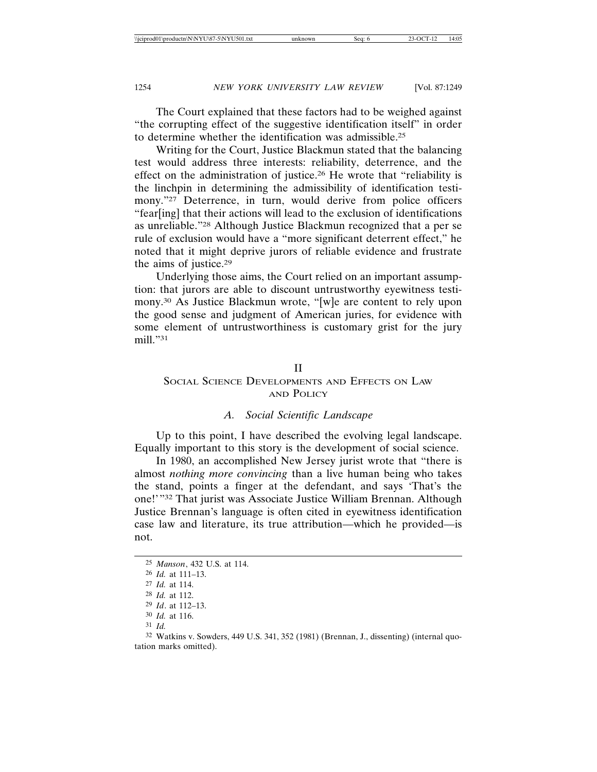The Court explained that these factors had to be weighed against "the corrupting effect of the suggestive identification itself" in order to determine whether the identification was admissible.25

Writing for the Court, Justice Blackmun stated that the balancing test would address three interests: reliability, deterrence, and the effect on the administration of justice.26 He wrote that "reliability is the linchpin in determining the admissibility of identification testimony."<sup>27</sup> Deterrence, in turn, would derive from police officers "fear[ing] that their actions will lead to the exclusion of identifications as unreliable."28 Although Justice Blackmun recognized that a per se rule of exclusion would have a "more significant deterrent effect," he noted that it might deprive jurors of reliable evidence and frustrate the aims of justice.29

Underlying those aims, the Court relied on an important assumption: that jurors are able to discount untrustworthy eyewitness testimony.30 As Justice Blackmun wrote, "[w]e are content to rely upon the good sense and judgment of American juries, for evidence with some element of untrustworthiness is customary grist for the jury mill."31

### II

# SOCIAL SCIENCE DEVELOPMENTS AND EFFECTS ON LAW AND POLICY

### *A. Social Scientific Landscape*

Up to this point, I have described the evolving legal landscape. Equally important to this story is the development of social science.

In 1980, an accomplished New Jersey jurist wrote that "there is almost *nothing more convincing* than a live human being who takes the stand, points a finger at the defendant, and says 'That's the one!'"32 That jurist was Associate Justice William Brennan. Although Justice Brennan's language is often cited in eyewitness identification case law and literature, its true attribution—which he provided—is not.

<sup>25</sup> *Manson*, 432 U.S. at 114.

<sup>26</sup> *Id.* at 111–13.

<sup>27</sup> *Id.* at 114.

<sup>28</sup> *Id.* at 112.

<sup>29</sup> *Id*. at 112–13.

<sup>30</sup> *Id.* at 116.

<sup>31</sup> *Id.*

<sup>32</sup> Watkins v. Sowders, 449 U.S. 341, 352 (1981) (Brennan, J., dissenting) (internal quotation marks omitted).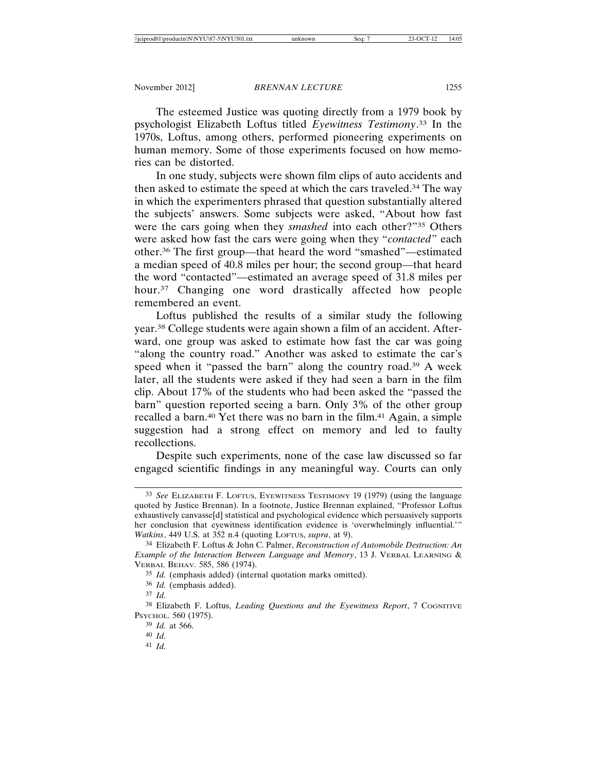The esteemed Justice was quoting directly from a 1979 book by psychologist Elizabeth Loftus titled *Eyewitness Testimony*. 33 In the 1970s, Loftus, among others, performed pioneering experiments on human memory. Some of those experiments focused on how memories can be distorted.

In one study, subjects were shown film clips of auto accidents and then asked to estimate the speed at which the cars traveled.34 The way in which the experimenters phrased that question substantially altered the subjects' answers. Some subjects were asked, "About how fast were the cars going when they *smashed* into each other?"35 Others were asked how fast the cars were going when they "*contacted*" each other.36 The first group—that heard the word "smashed"—estimated a median speed of 40.8 miles per hour; the second group—that heard the word "contacted"—estimated an average speed of 31.8 miles per hour.37 Changing one word drastically affected how people remembered an event.

Loftus published the results of a similar study the following year.38 College students were again shown a film of an accident. Afterward, one group was asked to estimate how fast the car was going "along the country road." Another was asked to estimate the car's speed when it "passed the barn" along the country road.39 A week later, all the students were asked if they had seen a barn in the film clip. About 17% of the students who had been asked the "passed the barn" question reported seeing a barn. Only 3% of the other group recalled a barn.40 Yet there was no barn in the film.41 Again, a simple suggestion had a strong effect on memory and led to faulty recollections.

Despite such experiments, none of the case law discussed so far engaged scientific findings in any meaningful way. Courts can only

41 *Id.*

<sup>33</sup> *See* ELIZABETH F. LOFTUS, EYEWITNESS TESTIMONY 19 (1979) (using the language quoted by Justice Brennan). In a footnote, Justice Brennan explained, "Professor Loftus exhaustively canvasse[d] statistical and psychological evidence which persuasively supports her conclusion that eyewitness identification evidence is 'overwhelmingly influential.'" *Watkins*, 449 U.S. at 352 n.4 (quoting LOFTUS, *supra*, at 9).

<sup>34</sup> Elizabeth F. Loftus & John C. Palmer, *Reconstruction of Automobile Destruction: An Example of the Interaction Between Language and Memory*, 13 J. VERBAL LEARNING & VERBAL BEHAV. 585, 586 (1974).

<sup>35</sup> *Id.* (emphasis added) (internal quotation marks omitted).

<sup>36</sup> *Id.* (emphasis added).

<sup>37</sup> *Id.*

<sup>38</sup> Elizabeth F. Loftus, *Leading Questions and the Eyewitness Report*, 7 COGNITIVE PSYCHOL. 560 (1975).

<sup>39</sup> *Id.* at 566.

<sup>40</sup> *Id.*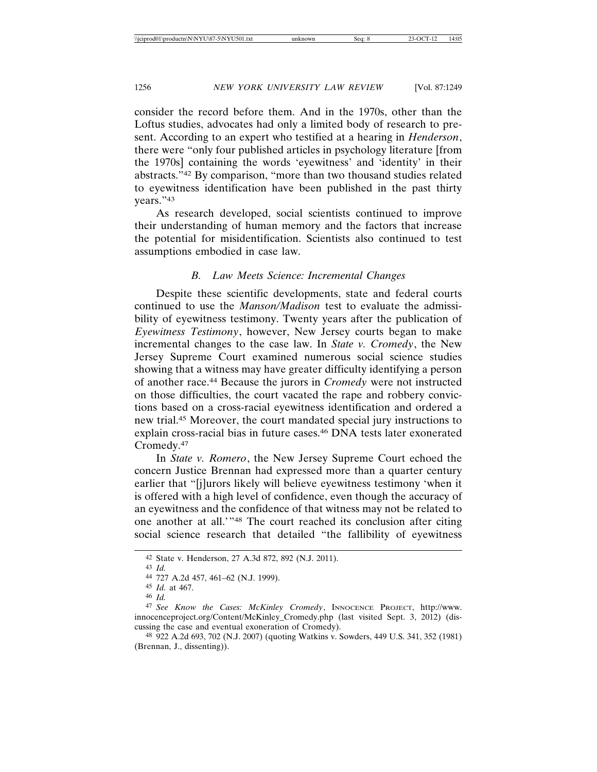consider the record before them. And in the 1970s, other than the Loftus studies, advocates had only a limited body of research to present. According to an expert who testified at a hearing in *Henderson*, there were "only four published articles in psychology literature [from the 1970s] containing the words 'eyewitness' and 'identity' in their abstracts."42 By comparison, "more than two thousand studies related to eyewitness identification have been published in the past thirty years."43

As research developed, social scientists continued to improve their understanding of human memory and the factors that increase the potential for misidentification. Scientists also continued to test assumptions embodied in case law.

# *B. Law Meets Science: Incremental Changes*

Despite these scientific developments, state and federal courts continued to use the *Manson/Madison* test to evaluate the admissibility of eyewitness testimony. Twenty years after the publication of *Eyewitness Testimony*, however, New Jersey courts began to make incremental changes to the case law. In *State v. Cromedy*, the New Jersey Supreme Court examined numerous social science studies showing that a witness may have greater difficulty identifying a person of another race.44 Because the jurors in *Cromedy* were not instructed on those difficulties, the court vacated the rape and robbery convictions based on a cross-racial eyewitness identification and ordered a new trial.45 Moreover, the court mandated special jury instructions to explain cross-racial bias in future cases.46 DNA tests later exonerated Cromedy.47

In *State v. Romero*, the New Jersey Supreme Court echoed the concern Justice Brennan had expressed more than a quarter century earlier that "[j]urors likely will believe eyewitness testimony 'when it is offered with a high level of confidence, even though the accuracy of an eyewitness and the confidence of that witness may not be related to one another at all.'"48 The court reached its conclusion after citing social science research that detailed "the fallibility of eyewitness

<sup>42</sup> State v. Henderson, 27 A.3d 872, 892 (N.J. 2011).

<sup>43</sup> *Id.*

<sup>44</sup> 727 A.2d 457, 461–62 (N.J. 1999).

<sup>45</sup> *Id.* at 467.

<sup>46</sup> *Id.*

<sup>47</sup> *See Know the Cases: McKinley Cromedy*, INNOCENCE PROJECT, http://www. innocenceproject.org/Content/McKinley\_Cromedy.php (last visited Sept. 3, 2012) (discussing the case and eventual exoneration of Cromedy).

<sup>48</sup> 922 A.2d 693, 702 (N.J. 2007) (quoting Watkins v. Sowders, 449 U.S. 341, 352 (1981) (Brennan, J., dissenting)).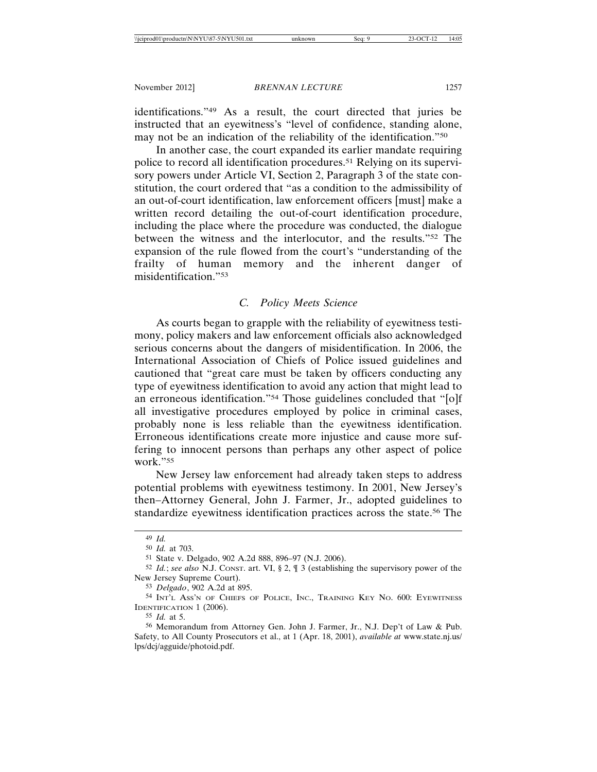identifications."49 As a result, the court directed that juries be instructed that an eyewitness's "level of confidence, standing alone, may not be an indication of the reliability of the identification."50

In another case, the court expanded its earlier mandate requiring police to record all identification procedures.51 Relying on its supervisory powers under Article VI, Section 2, Paragraph 3 of the state constitution, the court ordered that "as a condition to the admissibility of an out-of-court identification, law enforcement officers [must] make a written record detailing the out-of-court identification procedure, including the place where the procedure was conducted, the dialogue between the witness and the interlocutor, and the results."52 The expansion of the rule flowed from the court's "understanding of the frailty of human memory and the inherent danger of misidentification."53

# *C. Policy Meets Science*

As courts began to grapple with the reliability of eyewitness testimony, policy makers and law enforcement officials also acknowledged serious concerns about the dangers of misidentification. In 2006, the International Association of Chiefs of Police issued guidelines and cautioned that "great care must be taken by officers conducting any type of eyewitness identification to avoid any action that might lead to an erroneous identification."54 Those guidelines concluded that "[o]f all investigative procedures employed by police in criminal cases, probably none is less reliable than the eyewitness identification. Erroneous identifications create more injustice and cause more suffering to innocent persons than perhaps any other aspect of police work."55

New Jersey law enforcement had already taken steps to address potential problems with eyewitness testimony. In 2001, New Jersey's then–Attorney General, John J. Farmer, Jr., adopted guidelines to standardize eyewitness identification practices across the state.56 The

<sup>49</sup> *Id.*

<sup>50</sup> *Id.* at 703.

<sup>51</sup> State v. Delgado, 902 A.2d 888, 896–97 (N.J. 2006).

<sup>52</sup> *Id.*; *see also* N.J. CONST. art. VI, § 2, ¶ 3 (establishing the supervisory power of the New Jersey Supreme Court).

<sup>53</sup> *Delgado*, 902 A.2d at 895.

<sup>54</sup> INT'L ASS'N OF CHIEFS OF POLICE, INC., TRAINING KEY NO. 600: EYEWITNESS IDENTIFICATION 1 (2006).

<sup>55</sup> *Id.* at 5.

<sup>56</sup> Memorandum from Attorney Gen. John J. Farmer, Jr., N.J. Dep't of Law & Pub. Safety, to All County Prosecutors et al., at 1 (Apr. 18, 2001), *available at* www.state.nj.us/ lps/dcj/agguide/photoid.pdf.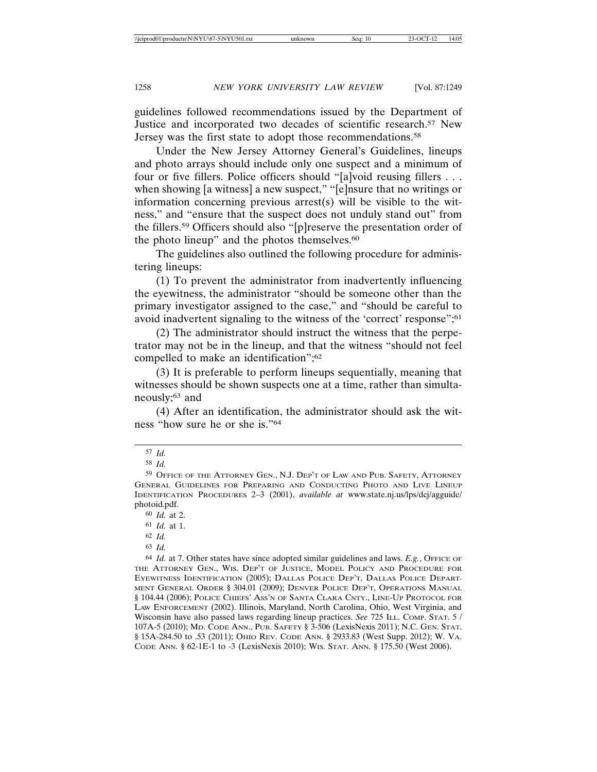guidelines followed recommendations issued by the Department of Justice and incorporated two decades of scientific research.57 New Jersey was the first state to adopt those recommendations.<sup>58</sup>

Under the New Jersey Attorney General's Guidelines, lineups and photo arrays should include only one suspect and a minimum of four or five fillers. Police officers should "[a]void reusing fillers . . . when showing [a witness] a new suspect," "[e]nsure that no writings or information concerning previous arrest(s) will be visible to the witness," and "ensure that the suspect does not unduly stand out" from the fillers.59 Officers should also "[p]reserve the presentation order of the photo lineup" and the photos themselves.<sup>60</sup>

The guidelines also outlined the following procedure for administering lineups:

(1) To prevent the administrator from inadvertently influencing the eyewitness, the administrator "should be someone other than the primary investigator assigned to the case," and "should be careful to avoid inadvertent signaling to the witness of the 'correct' response";<sup>61</sup>

(2) The administrator should instruct the witness that the perpetrator may not be in the lineup, and that the witness "should not feel compelled to make an identification";<sup>62</sup>

(3) It is preferable to perform lineups sequentially, meaning that witnesses should be shown suspects one at a time, rather than simultaneously;<sup>63</sup> and

(4) After an identification, the administrator should ask the witness "how sure he or she is."64

<sup>57</sup> *Id.*

<sup>58</sup> *Id.*

<sup>59</sup> OFFICE OF THE ATTORNEY GEN., N.J. DEP'T OF LAW AND PUB. SAFETY, ATTORNEY GENERAL GUIDELINES FOR PREPARING AND CONDUCTING PHOTO AND LIVE LINEUP IDENTIFICATION PROCEDURES 2–3 (2001), *available at* www.state.nj.us/lps/dcj/agguide/ photoid.pdf.

<sup>60</sup> *Id.* at 2.

<sup>61</sup> *Id.* at 1.

<sup>62</sup> *Id.*

<sup>63</sup> *Id.*

<sup>64</sup> *Id.* at 7. Other states have since adopted similar guidelines and laws. *E.g.*, OFFICE OF THE ATTORNEY GEN., WIS. DEP'T OF JUSTICE, MODEL POLICY AND PROCEDURE FOR EYEWITNESS IDENTIFICATION (2005); DALLAS POLICE DEP'T, DALLAS POLICE DEPART-MENT GENERAL ORDER § 304.01 (2009); DENVER POLICE DEP'T, OPERATIONS MANUAL § 104.44 (2006); POLICE CHIEFS' ASS'N OF SANTA CLARA CNTY., LINE-UP PROTOCOL FOR LAW ENFORCEMENT (2002). Illinois, Maryland, North Carolina, Ohio, West Virginia, and Wisconsin have also passed laws regarding lineup practices. *See* 725 ILL. COMP. STAT. 5 / 107A-5 (2010); MD. CODE ANN., PUB. SAFETY § 3-506 (LexisNexis 2011); N.C. GEN. STAT. § 15A-284.50 to .53 (2011); OHIO REV. CODE ANN. § 2933.83 (West Supp. 2012); W. VA. CODE ANN. § 62-1E-1 to -3 (LexisNexis 2010); WIS. STAT. ANN. § 175.50 (West 2006).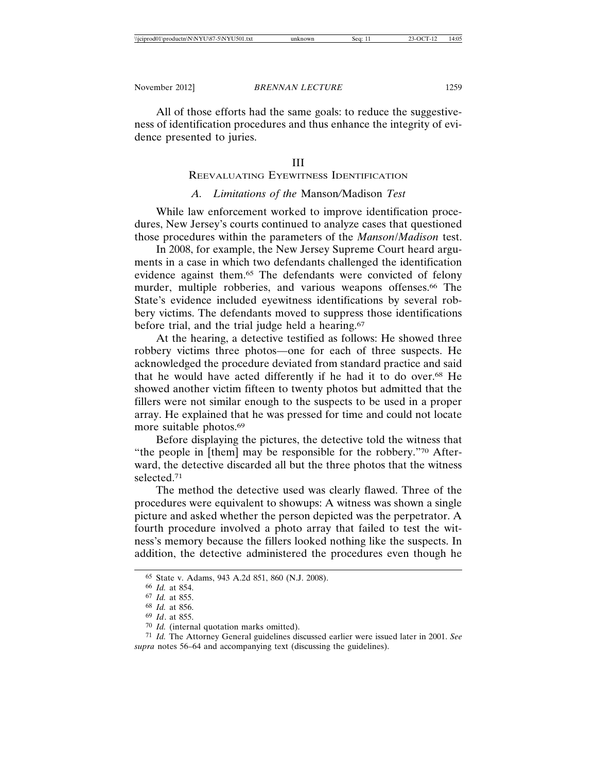All of those efforts had the same goals: to reduce the suggestiveness of identification procedures and thus enhance the integrity of evidence presented to juries.

#### III

# REEVALUATING EYEWITNESS IDENTIFICATION

# *A. Limitations of the* Manson*/*Madison *Test*

While law enforcement worked to improve identification procedures, New Jersey's courts continued to analyze cases that questioned those procedures within the parameters of the *Manson*/*Madison* test.

In 2008, for example, the New Jersey Supreme Court heard arguments in a case in which two defendants challenged the identification evidence against them.65 The defendants were convicted of felony murder, multiple robberies, and various weapons offenses.<sup>66</sup> The State's evidence included eyewitness identifications by several robbery victims. The defendants moved to suppress those identifications before trial, and the trial judge held a hearing.<sup>67</sup>

At the hearing, a detective testified as follows: He showed three robbery victims three photos—one for each of three suspects. He acknowledged the procedure deviated from standard practice and said that he would have acted differently if he had it to do over.68 He showed another victim fifteen to twenty photos but admitted that the fillers were not similar enough to the suspects to be used in a proper array. He explained that he was pressed for time and could not locate more suitable photos.69

Before displaying the pictures, the detective told the witness that "the people in [them] may be responsible for the robbery."70 Afterward, the detective discarded all but the three photos that the witness selected.71

The method the detective used was clearly flawed. Three of the procedures were equivalent to showups: A witness was shown a single picture and asked whether the person depicted was the perpetrator. A fourth procedure involved a photo array that failed to test the witness's memory because the fillers looked nothing like the suspects. In addition, the detective administered the procedures even though he

71 *Id.* The Attorney General guidelines discussed earlier were issued later in 2001. *See supra* notes 56–64 and accompanying text (discussing the guidelines).

<sup>65</sup> State v. Adams, 943 A.2d 851, 860 (N.J. 2008).

<sup>66</sup> *Id.* at 854.

<sup>67</sup> *Id.* at 855.

<sup>68</sup> *Id.* at 856.

<sup>69</sup> *Id*. at 855.

<sup>70</sup> *Id.* (internal quotation marks omitted).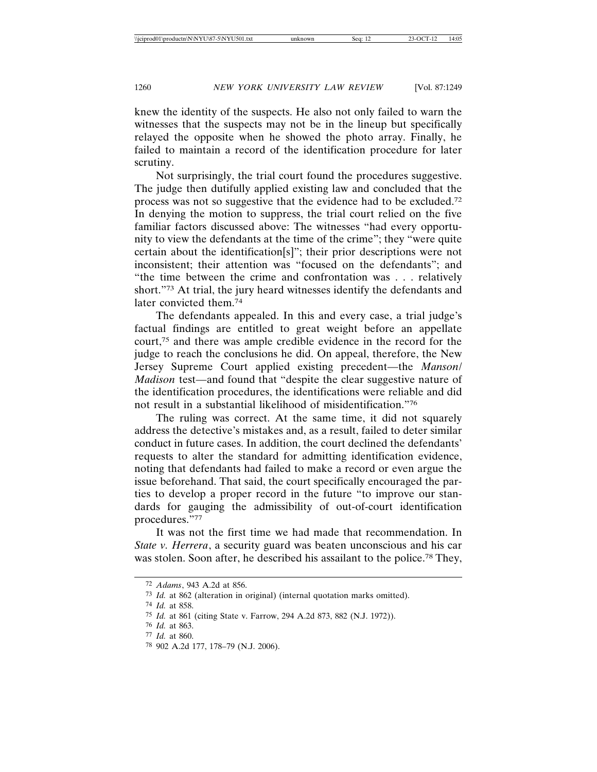knew the identity of the suspects. He also not only failed to warn the witnesses that the suspects may not be in the lineup but specifically relayed the opposite when he showed the photo array. Finally, he failed to maintain a record of the identification procedure for later scrutiny.

Not surprisingly, the trial court found the procedures suggestive. The judge then dutifully applied existing law and concluded that the process was not so suggestive that the evidence had to be excluded.72 In denying the motion to suppress, the trial court relied on the five familiar factors discussed above: The witnesses "had every opportunity to view the defendants at the time of the crime"; they "were quite certain about the identification[s]"; their prior descriptions were not inconsistent; their attention was "focused on the defendants"; and "the time between the crime and confrontation was . . . relatively short."73 At trial, the jury heard witnesses identify the defendants and later convicted them.74

The defendants appealed. In this and every case, a trial judge's factual findings are entitled to great weight before an appellate court,75 and there was ample credible evidence in the record for the judge to reach the conclusions he did. On appeal, therefore, the New Jersey Supreme Court applied existing precedent—the *Manson*/ *Madison* test—and found that "despite the clear suggestive nature of the identification procedures, the identifications were reliable and did not result in a substantial likelihood of misidentification."76

The ruling was correct. At the same time, it did not squarely address the detective's mistakes and, as a result, failed to deter similar conduct in future cases. In addition, the court declined the defendants' requests to alter the standard for admitting identification evidence, noting that defendants had failed to make a record or even argue the issue beforehand. That said, the court specifically encouraged the parties to develop a proper record in the future "to improve our standards for gauging the admissibility of out-of-court identification procedures."77

It was not the first time we had made that recommendation. In *State v. Herrera*, a security guard was beaten unconscious and his car was stolen. Soon after, he described his assailant to the police.<sup>78</sup> They,

<sup>72</sup> *Adams*, 943 A.2d at 856.

<sup>73</sup> *Id.* at 862 (alteration in original) (internal quotation marks omitted).

<sup>74</sup> *Id.* at 858.

<sup>75</sup> *Id.* at 861 (citing State v. Farrow, 294 A.2d 873, 882 (N.J. 1972)).

<sup>76</sup> *Id.* at 863.

<sup>77</sup> *Id.* at 860.

<sup>78</sup> 902 A.2d 177, 178–79 (N.J. 2006).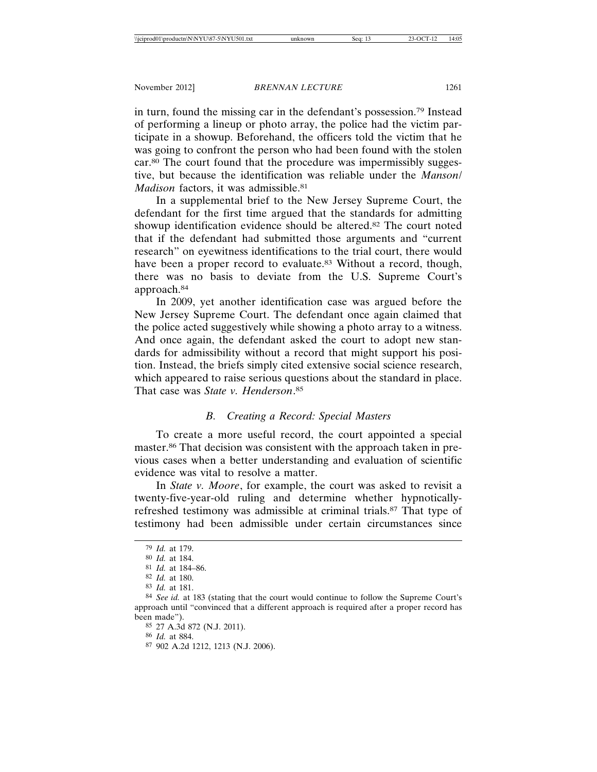in turn, found the missing car in the defendant's possession.79 Instead of performing a lineup or photo array, the police had the victim participate in a showup. Beforehand, the officers told the victim that he was going to confront the person who had been found with the stolen car.80 The court found that the procedure was impermissibly suggestive, but because the identification was reliable under the *Manson*/ *Madison* factors, it was admissible.<sup>81</sup>

In a supplemental brief to the New Jersey Supreme Court, the defendant for the first time argued that the standards for admitting showup identification evidence should be altered.82 The court noted that if the defendant had submitted those arguments and "current research" on eyewitness identifications to the trial court, there would have been a proper record to evaluate.<sup>83</sup> Without a record, though, there was no basis to deviate from the U.S. Supreme Court's approach.84

In 2009, yet another identification case was argued before the New Jersey Supreme Court. The defendant once again claimed that the police acted suggestively while showing a photo array to a witness. And once again, the defendant asked the court to adopt new standards for admissibility without a record that might support his position. Instead, the briefs simply cited extensive social science research, which appeared to raise serious questions about the standard in place. That case was *State v. Henderson*. 85

# *B. Creating a Record: Special Masters*

To create a more useful record, the court appointed a special master.86 That decision was consistent with the approach taken in previous cases when a better understanding and evaluation of scientific evidence was vital to resolve a matter.

In *State v. Moore*, for example, the court was asked to revisit a twenty-five-year-old ruling and determine whether hypnoticallyrefreshed testimony was admissible at criminal trials.87 That type of testimony had been admissible under certain circumstances since

<sup>79</sup> *Id.* at 179.

<sup>80</sup> *Id.* at 184.

<sup>81</sup> *Id.* at 184–86.

<sup>82</sup> *Id.* at 180.

<sup>83</sup> *Id.* at 181.

<sup>84</sup> *See id.* at 183 (stating that the court would continue to follow the Supreme Court's approach until "convinced that a different approach is required after a proper record has been made").

<sup>85</sup> 27 A.3d 872 (N.J. 2011).

<sup>86</sup> *Id.* at 884.

<sup>87</sup> 902 A.2d 1212, 1213 (N.J. 2006).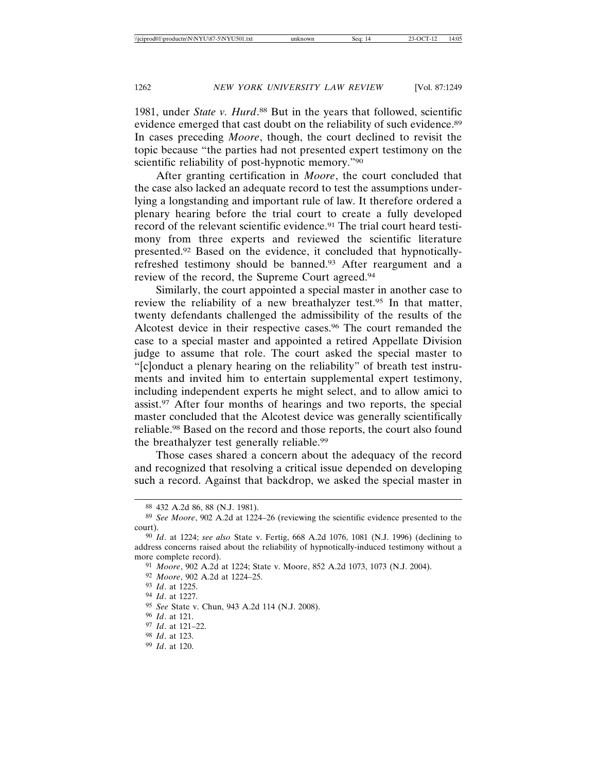1981, under *State v. Hurd*. 88 But in the years that followed, scientific evidence emerged that cast doubt on the reliability of such evidence.<sup>89</sup> In cases preceding *Moore*, though, the court declined to revisit the topic because "the parties had not presented expert testimony on the scientific reliability of post-hypnotic memory."90

After granting certification in *Moore*, the court concluded that the case also lacked an adequate record to test the assumptions underlying a longstanding and important rule of law. It therefore ordered a plenary hearing before the trial court to create a fully developed record of the relevant scientific evidence.91 The trial court heard testimony from three experts and reviewed the scientific literature presented.92 Based on the evidence, it concluded that hypnoticallyrefreshed testimony should be banned.93 After reargument and a review of the record, the Supreme Court agreed.94

Similarly, the court appointed a special master in another case to review the reliability of a new breathalyzer test.95 In that matter, twenty defendants challenged the admissibility of the results of the Alcotest device in their respective cases.96 The court remanded the case to a special master and appointed a retired Appellate Division judge to assume that role. The court asked the special master to "[c]onduct a plenary hearing on the reliability" of breath test instruments and invited him to entertain supplemental expert testimony, including independent experts he might select, and to allow amici to assist.97 After four months of hearings and two reports, the special master concluded that the Alcotest device was generally scientifically reliable.98 Based on the record and those reports, the court also found the breathalyzer test generally reliable.99

Those cases shared a concern about the adequacy of the record and recognized that resolving a critical issue depended on developing such a record. Against that backdrop, we asked the special master in

92 *Moore*, 902 A.2d at 1224–25.

94 *Id*. at 1227.

96 *Id*. at 121.

- 98 *Id*. at 123.
- 99 *Id*. at 120.

<sup>88</sup> 432 A.2d 86, 88 (N.J. 1981).

<sup>89</sup> *See Moore*, 902 A.2d at 1224–26 (reviewing the scientific evidence presented to the court).

<sup>90</sup> *Id*. at 1224; *see also* State v. Fertig, 668 A.2d 1076, 1081 (N.J. 1996) (declining to address concerns raised about the reliability of hypnotically-induced testimony without a more complete record).

<sup>91</sup> *Moore*, 902 A.2d at 1224; State v. Moore, 852 A.2d 1073, 1073 (N.J. 2004).

<sup>93</sup> *Id*. at 1225.

<sup>95</sup> *See* State v. Chun, 943 A.2d 114 (N.J. 2008).

<sup>97</sup> *Id*. at 121–22.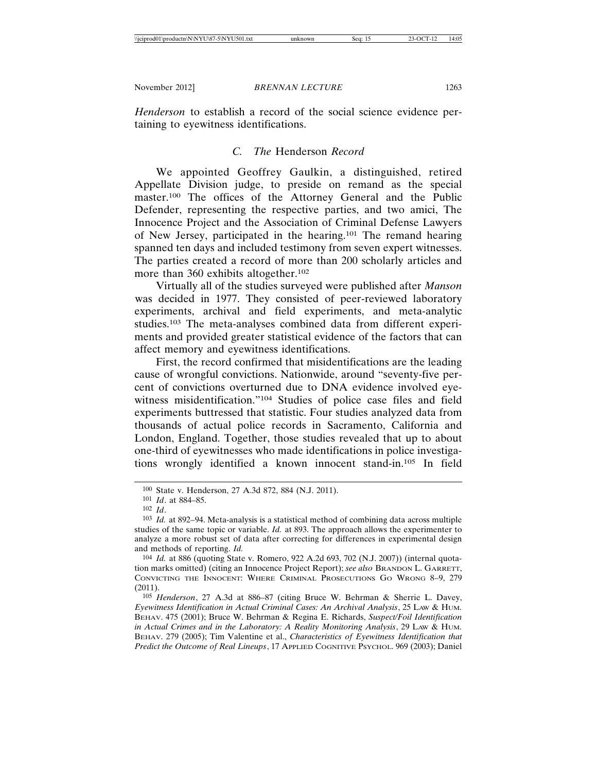*Henderson* to establish a record of the social science evidence pertaining to eyewitness identifications.

# *C. The* Henderson *Record*

We appointed Geoffrey Gaulkin, a distinguished, retired Appellate Division judge, to preside on remand as the special master.<sup>100</sup> The offices of the Attorney General and the Public Defender, representing the respective parties, and two amici, The Innocence Project and the Association of Criminal Defense Lawyers of New Jersey, participated in the hearing.101 The remand hearing spanned ten days and included testimony from seven expert witnesses. The parties created a record of more than 200 scholarly articles and more than 360 exhibits altogether.<sup>102</sup>

Virtually all of the studies surveyed were published after *Manson* was decided in 1977. They consisted of peer-reviewed laboratory experiments, archival and field experiments, and meta-analytic studies.103 The meta-analyses combined data from different experiments and provided greater statistical evidence of the factors that can affect memory and eyewitness identifications.

First, the record confirmed that misidentifications are the leading cause of wrongful convictions. Nationwide, around "seventy-five percent of convictions overturned due to DNA evidence involved eyewitness misidentification."104 Studies of police case files and field experiments buttressed that statistic. Four studies analyzed data from thousands of actual police records in Sacramento, California and London, England. Together, those studies revealed that up to about one-third of eyewitnesses who made identifications in police investigations wrongly identified a known innocent stand-in.105 In field

105 *Henderson*, 27 A.3d at 886–87 (citing Bruce W. Behrman & Sherrie L. Davey, *Eyewitness Identification in Actual Criminal Cases: An Archival Analysis*, 25 LAW & HUM. BEHAV. 475 (2001); Bruce W. Behrman & Regina E. Richards, *Suspect/Foil Identification in Actual Crimes and in the Laboratory: A Reality Monitoring Analysis*, 29 Law & HUM. BEHAV. 279 (2005); Tim Valentine et al., *Characteristics of Eyewitness Identification that Predict the Outcome of Real Lineups*, 17 APPLIED COGNITIVE PSYCHOL. 969 (2003); Daniel

<sup>100</sup> State v. Henderson, 27 A.3d 872, 884 (N.J. 2011).

<sup>101</sup> *Id*. at 884–85.

<sup>102</sup> *Id*.

<sup>103</sup> *Id.* at 892–94. Meta-analysis is a statistical method of combining data across multiple studies of the same topic or variable. *Id.* at 893. The approach allows the experimenter to analyze a more robust set of data after correcting for differences in experimental design and methods of reporting. *Id.*

<sup>104</sup> *Id.* at 886 (quoting State v. Romero, 922 A.2d 693, 702 (N.J. 2007)) (internal quotation marks omitted) (citing an Innocence Project Report); *see also* BRANDON L. GARRETT, CONVICTING THE INNOCENT: WHERE CRIMINAL PROSECUTIONS GO WRONG 8–9, 279 (2011).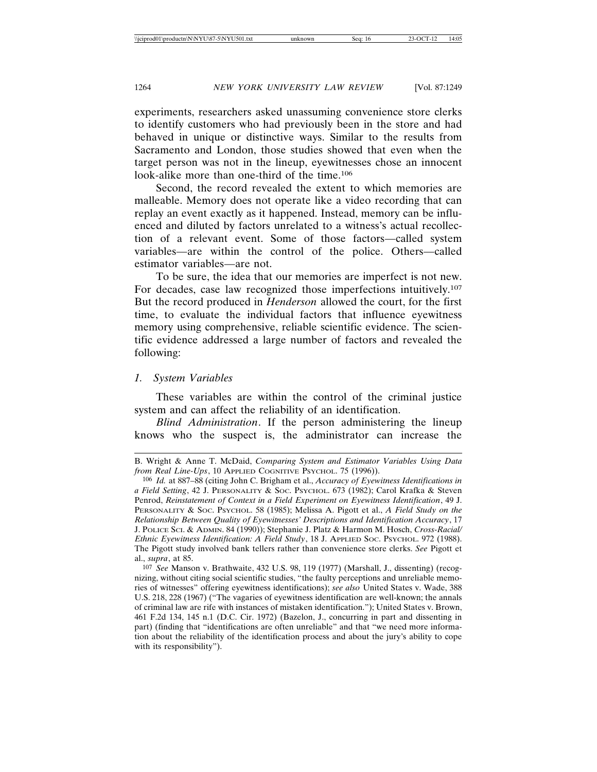experiments, researchers asked unassuming convenience store clerks to identify customers who had previously been in the store and had behaved in unique or distinctive ways. Similar to the results from Sacramento and London, those studies showed that even when the target person was not in the lineup, eyewitnesses chose an innocent look-alike more than one-third of the time.106

Second, the record revealed the extent to which memories are malleable. Memory does not operate like a video recording that can replay an event exactly as it happened. Instead, memory can be influenced and diluted by factors unrelated to a witness's actual recollection of a relevant event. Some of those factors—called system variables—are within the control of the police. Others—called estimator variables—are not.

To be sure, the idea that our memories are imperfect is not new. For decades, case law recognized those imperfections intuitively.107 But the record produced in *Henderson* allowed the court, for the first time, to evaluate the individual factors that influence eyewitness memory using comprehensive, reliable scientific evidence. The scientific evidence addressed a large number of factors and revealed the following:

*1. System Variables*

These variables are within the control of the criminal justice system and can affect the reliability of an identification.

*Blind Administration*. If the person administering the lineup knows who the suspect is, the administrator can increase the

B. Wright & Anne T. McDaid, *Comparing System and Estimator Variables Using Data from Real Line-Ups*, 10 APPLIED COGNITIVE PSYCHOL. 75 (1996)).

<sup>106</sup> *Id.* at 887–88 (citing John C. Brigham et al., *Accuracy of Eyewitness Identifications in a Field Setting*, 42 J. PERSONALITY & SOC. PSYCHOL. 673 (1982); Carol Krafka & Steven Penrod, *Reinstatement of Context in a Field Experiment on Eyewitness Identification*, 49 J. PERSONALITY & SOC. PSYCHOL. 58 (1985); Melissa A. Pigott et al., *A Field Study on the Relationship Between Quality of Eyewitnesses' Descriptions and Identification Accuracy*, 17 J. POLICE SCI. & ADMIN. 84 (1990)); Stephanie J. Platz & Harmon M. Hosch, *Cross-Racial/ Ethnic Eyewitness Identification: A Field Study*, 18 J. APPLIED SOC. PSYCHOL. 972 (1988). The Pigott study involved bank tellers rather than convenience store clerks. *See* Pigott et al., *supra*, at 85.

<sup>107</sup> *See* Manson v. Brathwaite, 432 U.S. 98, 119 (1977) (Marshall, J., dissenting) (recognizing, without citing social scientific studies, "the faulty perceptions and unreliable memories of witnesses" offering eyewitness identifications); *see also* United States v. Wade, 388 U.S. 218, 228 (1967) ("The vagaries of eyewitness identification are well-known; the annals of criminal law are rife with instances of mistaken identification."); United States v. Brown, 461 F.2d 134, 145 n.1 (D.C. Cir. 1972) (Bazelon, J., concurring in part and dissenting in part) (finding that "identifications are often unreliable" and that "we need more information about the reliability of the identification process and about the jury's ability to cope with its responsibility").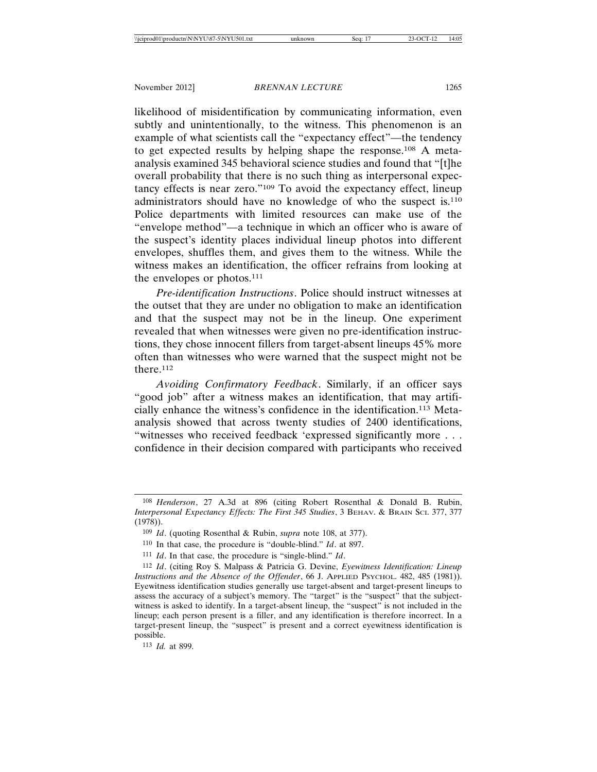likelihood of misidentification by communicating information, even subtly and unintentionally, to the witness. This phenomenon is an example of what scientists call the "expectancy effect"—the tendency to get expected results by helping shape the response.108 A metaanalysis examined 345 behavioral science studies and found that "[t]he overall probability that there is no such thing as interpersonal expectancy effects is near zero."109 To avoid the expectancy effect, lineup administrators should have no knowledge of who the suspect is.110 Police departments with limited resources can make use of the "envelope method"—a technique in which an officer who is aware of the suspect's identity places individual lineup photos into different envelopes, shuffles them, and gives them to the witness. While the witness makes an identification, the officer refrains from looking at the envelopes or photos.<sup>111</sup>

*Pre-identification Instructions*. Police should instruct witnesses at the outset that they are under no obligation to make an identification and that the suspect may not be in the lineup. One experiment revealed that when witnesses were given no pre-identification instructions, they chose innocent fillers from target-absent lineups 45% more often than witnesses who were warned that the suspect might not be there.112

*Avoiding Confirmatory Feedback*. Similarly, if an officer says "good job" after a witness makes an identification, that may artificially enhance the witness's confidence in the identification.113 Metaanalysis showed that across twenty studies of 2400 identifications, "witnesses who received feedback 'expressed significantly more . . . confidence in their decision compared with participants who received

113 *Id.* at 899.

<sup>108</sup> *Henderson*, 27 A.3d at 896 (citing Robert Rosenthal & Donald B. Rubin, *Interpersonal Expectancy Effects: The First 345 Studies*, 3 BEHAV. & BRAIN SCI. 377, 377 (1978)).

<sup>109</sup> *Id*. (quoting Rosenthal & Rubin, *supra* note 108, at 377).

<sup>110</sup> In that case, the procedure is "double-blind." *Id*. at 897.

<sup>111</sup> *Id*. In that case, the procedure is "single-blind." *Id*.

<sup>112</sup> *Id*. (citing Roy S. Malpass & Patricia G. Devine, *Eyewitness Identification: Lineup Instructions and the Absence of the Offender*, 66 J. APPLIED PSYCHOL. 482, 485 (1981)). Eyewitness identification studies generally use target-absent and target-present lineups to assess the accuracy of a subject's memory. The "target" is the "suspect" that the subjectwitness is asked to identify. In a target-absent lineup, the "suspect" is not included in the lineup; each person present is a filler, and any identification is therefore incorrect. In a target-present lineup, the "suspect" is present and a correct eyewitness identification is possible.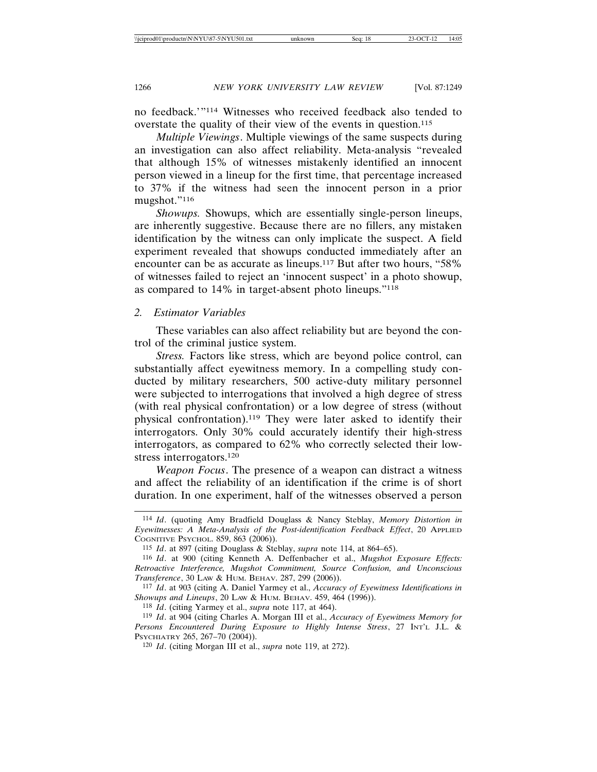no feedback.'"114 Witnesses who received feedback also tended to overstate the quality of their view of the events in question.115

*Multiple Viewings*. Multiple viewings of the same suspects during an investigation can also affect reliability. Meta-analysis "revealed that although 15% of witnesses mistakenly identified an innocent person viewed in a lineup for the first time, that percentage increased to 37% if the witness had seen the innocent person in a prior mugshot."116

*Showups.* Showups, which are essentially single-person lineups, are inherently suggestive. Because there are no fillers, any mistaken identification by the witness can only implicate the suspect. A field experiment revealed that showups conducted immediately after an encounter can be as accurate as lineups.117 But after two hours, "58% of witnesses failed to reject an 'innocent suspect' in a photo showup, as compared to 14% in target-absent photo lineups."118

#### *2. Estimator Variables*

These variables can also affect reliability but are beyond the control of the criminal justice system.

*Stress.* Factors like stress, which are beyond police control, can substantially affect eyewitness memory. In a compelling study conducted by military researchers, 500 active-duty military personnel were subjected to interrogations that involved a high degree of stress (with real physical confrontation) or a low degree of stress (without physical confrontation).119 They were later asked to identify their interrogators. Only 30% could accurately identify their high-stress interrogators, as compared to 62% who correctly selected their lowstress interrogators.120

*Weapon Focus*. The presence of a weapon can distract a witness and affect the reliability of an identification if the crime is of short duration. In one experiment, half of the witnesses observed a person

<sup>114</sup> *Id*. (quoting Amy Bradfield Douglass & Nancy Steblay, *Memory Distortion in Eyewitnesses: A Meta-Analysis of the Post-identification Feedback Effect*, 20 APPLIED COGNITIVE PSYCHOL. 859, 863 (2006)).

<sup>115</sup> *Id*. at 897 (citing Douglass & Steblay, *supra* note 114, at 864–65).

<sup>116</sup> *Id*. at 900 (citing Kenneth A. Deffenbacher et al., *Mugshot Exposure Effects: Retroactive Interference, Mugshot Commitment, Source Confusion, and Unconscious Transference*, 30 LAW & HUM. BEHAV. 287, 299 (2006)).

<sup>117</sup> *Id*. at 903 (citing A. Daniel Yarmey et al., *Accuracy of Eyewitness Identifications in Showups and Lineups*, 20 LAW & HUM. BEHAV. 459, 464 (1996)).

<sup>118</sup> *Id*. (citing Yarmey et al., *supra* note 117, at 464).

<sup>119</sup> *Id*. at 904 (citing Charles A. Morgan III et al., *Accuracy of Eyewitness Memory for Persons Encountered During Exposure to Highly Intense Stress*, 27 INT'L J.L. & PSYCHIATRY 265, 267–70 (2004)).

<sup>120</sup> *Id*. (citing Morgan III et al., *supra* note 119, at 272).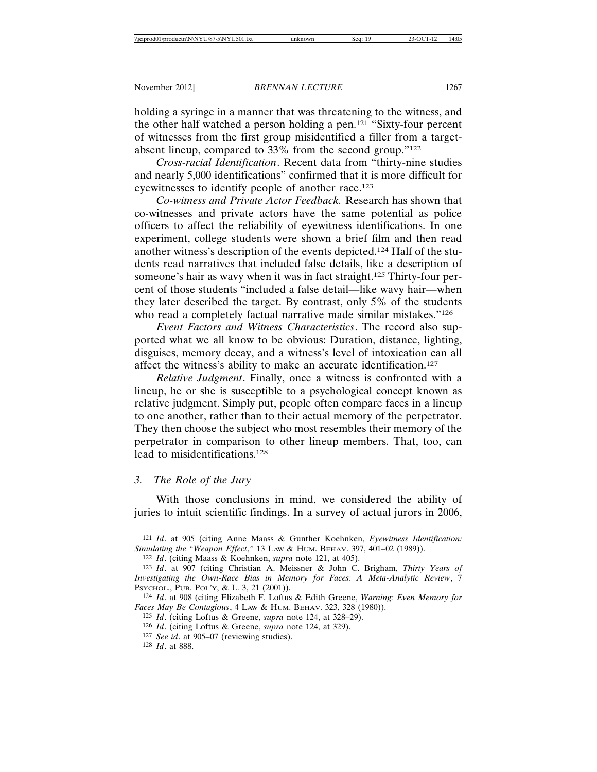holding a syringe in a manner that was threatening to the witness, and the other half watched a person holding a pen.121 "Sixty-four percent of witnesses from the first group misidentified a filler from a targetabsent lineup, compared to 33% from the second group."122

*Cross-racial Identification*. Recent data from "thirty-nine studies and nearly 5,000 identifications" confirmed that it is more difficult for eyewitnesses to identify people of another race.123

*Co-witness and Private Actor Feedback.* Research has shown that co-witnesses and private actors have the same potential as police officers to affect the reliability of eyewitness identifications. In one experiment, college students were shown a brief film and then read another witness's description of the events depicted.124 Half of the students read narratives that included false details, like a description of someone's hair as wavy when it was in fact straight.125 Thirty-four percent of those students "included a false detail—like wavy hair—when they later described the target. By contrast, only 5% of the students who read a completely factual narrative made similar mistakes."<sup>126</sup>

*Event Factors and Witness Characteristics*. The record also supported what we all know to be obvious: Duration, distance, lighting, disguises, memory decay, and a witness's level of intoxication can all affect the witness's ability to make an accurate identification.127

*Relative Judgment*. Finally, once a witness is confronted with a lineup, he or she is susceptible to a psychological concept known as relative judgment. Simply put, people often compare faces in a lineup to one another, rather than to their actual memory of the perpetrator. They then choose the subject who most resembles their memory of the perpetrator in comparison to other lineup members. That, too, can lead to misidentifications.128

### *3. The Role of the Jury*

With those conclusions in mind, we considered the ability of juries to intuit scientific findings. In a survey of actual jurors in 2006,

<sup>121</sup> *Id*. at 905 (citing Anne Maass & Gunther Koehnken, *Eyewitness Identification: Simulating the "Weapon Effect*,*"* 13 LAW & HUM. BEHAV. 397, 401–02 (1989)).

<sup>122</sup> *Id*. (citing Maass & Koehnken, *supra* note 121, at 405).

<sup>123</sup> *Id*. at 907 (citing Christian A. Meissner & John C. Brigham, *Thirty Years of Investigating the Own-Race Bias in Memory for Faces: A Meta-Analytic Review*, 7 PSYCHOL., PUB. POL'Y, & L. 3, 21 (2001)).

<sup>124</sup> *Id*. at 908 (citing Elizabeth F. Loftus & Edith Greene, *Warning: Even Memory for Faces May Be Contagious*, 4 LAW & HUM. BEHAV. 323, 328 (1980)).

<sup>125</sup> *Id*. (citing Loftus & Greene, *supra* note 124, at 328–29).

<sup>126</sup> *Id*. (citing Loftus & Greene, *supra* note 124, at 329).

<sup>127</sup> *See id*. at 905–07 (reviewing studies).

<sup>128</sup> *Id*. at 888.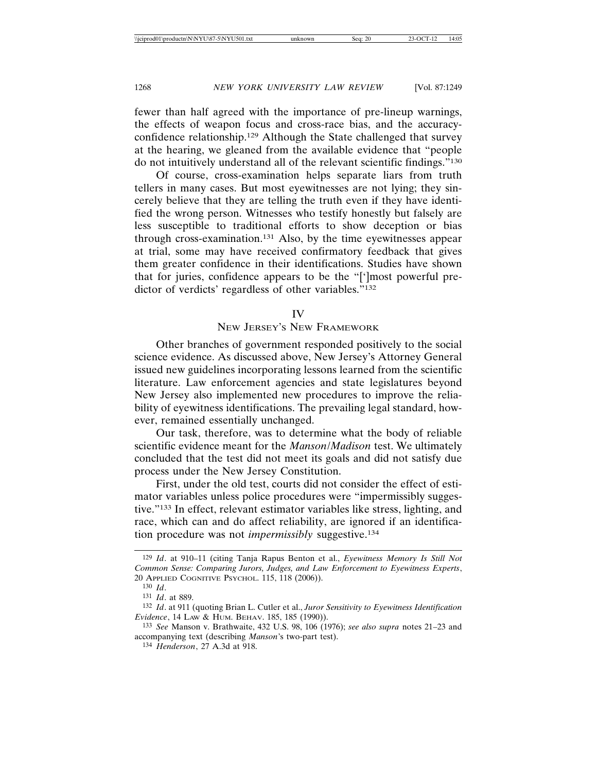fewer than half agreed with the importance of pre-lineup warnings, the effects of weapon focus and cross-race bias, and the accuracyconfidence relationship.129 Although the State challenged that survey at the hearing, we gleaned from the available evidence that "people do not intuitively understand all of the relevant scientific findings."130

Of course, cross-examination helps separate liars from truth tellers in many cases. But most eyewitnesses are not lying; they sincerely believe that they are telling the truth even if they have identified the wrong person. Witnesses who testify honestly but falsely are less susceptible to traditional efforts to show deception or bias through cross-examination.131 Also, by the time eyewitnesses appear at trial, some may have received confirmatory feedback that gives them greater confidence in their identifications. Studies have shown that for juries, confidence appears to be the "[']most powerful predictor of verdicts' regardless of other variables."132

#### IV

# NEW JERSEY'S NEW FRAMEWORK

Other branches of government responded positively to the social science evidence. As discussed above, New Jersey's Attorney General issued new guidelines incorporating lessons learned from the scientific literature. Law enforcement agencies and state legislatures beyond New Jersey also implemented new procedures to improve the reliability of eyewitness identifications. The prevailing legal standard, however, remained essentially unchanged.

Our task, therefore, was to determine what the body of reliable scientific evidence meant for the *Manson*/*Madison* test. We ultimately concluded that the test did not meet its goals and did not satisfy due process under the New Jersey Constitution.

First, under the old test, courts did not consider the effect of estimator variables unless police procedures were "impermissibly suggestive."133 In effect, relevant estimator variables like stress, lighting, and race, which can and do affect reliability, are ignored if an identification procedure was not *impermissibly* suggestive.134

<sup>129</sup> *Id*. at 910–11 (citing Tanja Rapus Benton et al., *Eyewitness Memory Is Still Not Common Sense: Comparing Jurors, Judges, and Law Enforcement to Eyewitness Experts*, 20 APPLIED COGNITIVE PSYCHOL. 115, 118 (2006)).

<sup>130</sup> *Id*.

<sup>131</sup> *Id*. at 889.

<sup>132</sup> *Id*. at 911 (quoting Brian L. Cutler et al., *Juror Sensitivity to Eyewitness Identification Evidence*, 14 LAW & HUM. BEHAV. 185, 185 (1990)).

<sup>133</sup> *See* Manson v. Brathwaite, 432 U.S. 98, 106 (1976); *see also supra* notes 21–23 and accompanying text (describing *Manson*'s two-part test).

<sup>134</sup> *Henderson*, 27 A.3d at 918.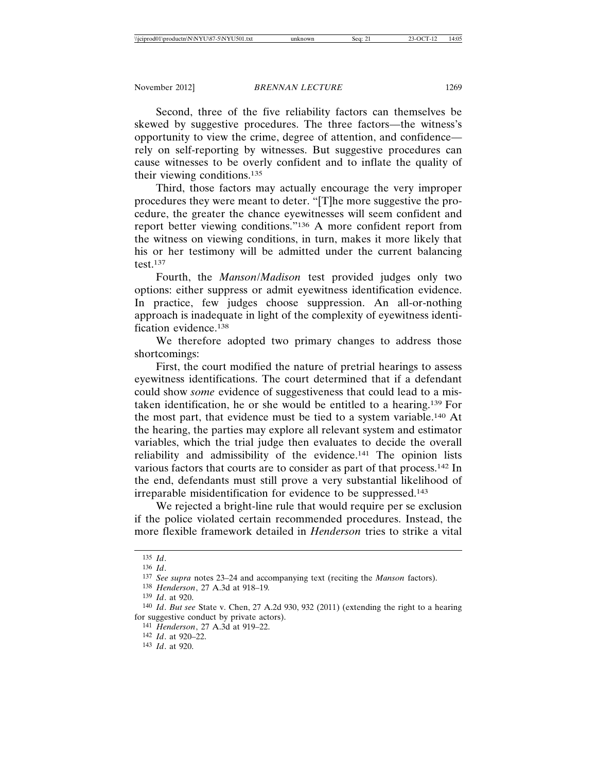Second, three of the five reliability factors can themselves be skewed by suggestive procedures. The three factors—the witness's opportunity to view the crime, degree of attention, and confidence rely on self-reporting by witnesses. But suggestive procedures can cause witnesses to be overly confident and to inflate the quality of their viewing conditions.135

Third, those factors may actually encourage the very improper procedures they were meant to deter. "[T]he more suggestive the procedure, the greater the chance eyewitnesses will seem confident and report better viewing conditions."136 A more confident report from the witness on viewing conditions, in turn, makes it more likely that his or her testimony will be admitted under the current balancing test.137

Fourth, the *Manson*/*Madison* test provided judges only two options: either suppress or admit eyewitness identification evidence. In practice, few judges choose suppression. An all-or-nothing approach is inadequate in light of the complexity of eyewitness identification evidence.138

We therefore adopted two primary changes to address those shortcomings:

First, the court modified the nature of pretrial hearings to assess eyewitness identifications. The court determined that if a defendant could show *some* evidence of suggestiveness that could lead to a mistaken identification, he or she would be entitled to a hearing.139 For the most part, that evidence must be tied to a system variable.140 At the hearing, the parties may explore all relevant system and estimator variables, which the trial judge then evaluates to decide the overall reliability and admissibility of the evidence.141 The opinion lists various factors that courts are to consider as part of that process.142 In the end, defendants must still prove a very substantial likelihood of irreparable misidentification for evidence to be suppressed.143

We rejected a bright-line rule that would require per se exclusion if the police violated certain recommended procedures. Instead, the more flexible framework detailed in *Henderson* tries to strike a vital

141 *Henderson*, 27 A.3d at 919–22.

<sup>135</sup> *Id*.

<sup>136</sup> *Id*.

<sup>137</sup> *See supra* notes 23–24 and accompanying text (reciting the *Manson* factors).

<sup>138</sup> *Henderson*, 27 A.3d at 918–19*.*

<sup>139</sup> *Id*. at 920.

<sup>140</sup> *Id*. *But see* State v. Chen, 27 A.2d 930, 932 (2011) (extending the right to a hearing for suggestive conduct by private actors).

<sup>142</sup> *Id*. at 920–22.

<sup>143</sup> *Id*. at 920.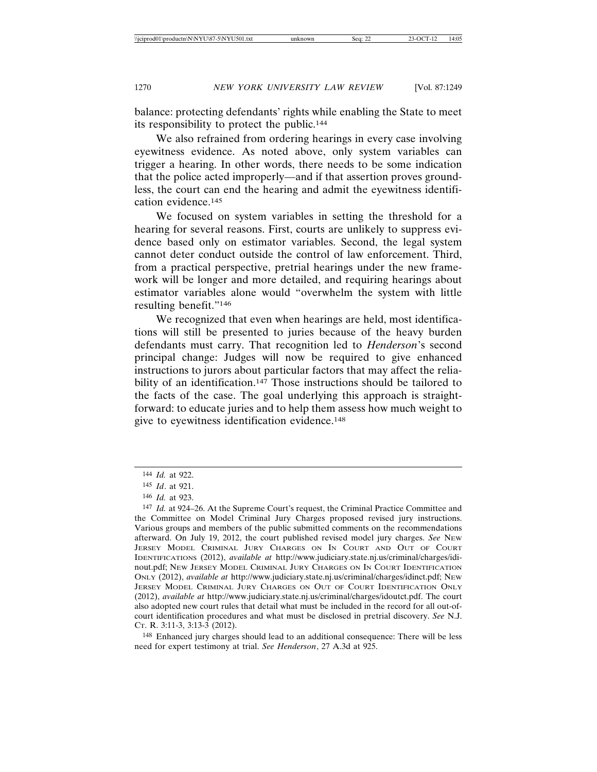balance: protecting defendants' rights while enabling the State to meet its responsibility to protect the public.144

We also refrained from ordering hearings in every case involving eyewitness evidence. As noted above, only system variables can trigger a hearing. In other words, there needs to be some indication that the police acted improperly—and if that assertion proves groundless, the court can end the hearing and admit the eyewitness identification evidence.145

We focused on system variables in setting the threshold for a hearing for several reasons. First, courts are unlikely to suppress evidence based only on estimator variables. Second, the legal system cannot deter conduct outside the control of law enforcement. Third, from a practical perspective, pretrial hearings under the new framework will be longer and more detailed, and requiring hearings about estimator variables alone would "overwhelm the system with little resulting benefit."146

We recognized that even when hearings are held, most identifications will still be presented to juries because of the heavy burden defendants must carry. That recognition led to *Henderson*'s second principal change: Judges will now be required to give enhanced instructions to jurors about particular factors that may affect the reliability of an identification.<sup>147</sup> Those instructions should be tailored to the facts of the case. The goal underlying this approach is straightforward: to educate juries and to help them assess how much weight to give to eyewitness identification evidence.148

148 Enhanced jury charges should lead to an additional consequence: There will be less need for expert testimony at trial. *See Henderson*, 27 A.3d at 925.

<sup>144</sup> *Id.* at 922.

<sup>145</sup> *Id*. at 921.

<sup>146</sup> *Id.* at 923.

<sup>147</sup> *Id.* at 924–26. At the Supreme Court's request, the Criminal Practice Committee and the Committee on Model Criminal Jury Charges proposed revised jury instructions. Various groups and members of the public submitted comments on the recommendations afterward. On July 19, 2012, the court published revised model jury charges. *See* NEW JERSEY MODEL CRIMINAL JURY CHARGES ON IN COURT AND OUT OF COURT IDENTIFICATIONS (2012), *available at* http://www.judiciary.state.nj.us/criminal/charges/idinout.pdf; NEW JERSEY MODEL CRIMINAL JURY CHARGES ON IN COURT IDENTIFICATION ONLY (2012), *available at* http://www.judiciary.state.nj.us/criminal/charges/idinct.pdf; NEW JERSEY MODEL CRIMINAL JURY CHARGES ON OUT OF COURT IDENTIFICATION ONLY (2012), *available at* http://www.judiciary.state.nj.us/criminal/charges/idoutct.pdf. The court also adopted new court rules that detail what must be included in the record for all out-ofcourt identification procedures and what must be disclosed in pretrial discovery. *See* N.J. CT. R. 3:11-3, 3:13-3 (2012).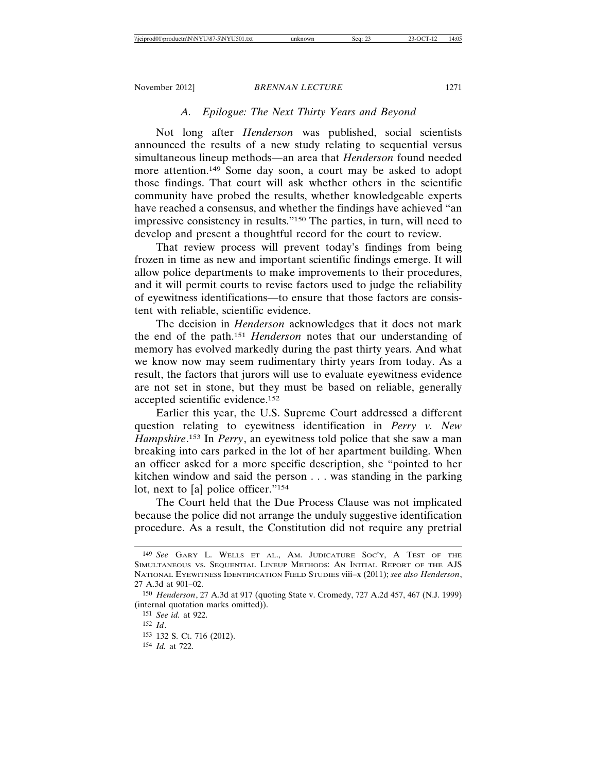# *A. Epilogue: The Next Thirty Years and Beyond*

Not long after *Henderson* was published, social scientists announced the results of a new study relating to sequential versus simultaneous lineup methods—an area that *Henderson* found needed more attention.149 Some day soon, a court may be asked to adopt those findings. That court will ask whether others in the scientific community have probed the results, whether knowledgeable experts have reached a consensus, and whether the findings have achieved "an impressive consistency in results."150 The parties, in turn, will need to develop and present a thoughtful record for the court to review.

That review process will prevent today's findings from being frozen in time as new and important scientific findings emerge. It will allow police departments to make improvements to their procedures, and it will permit courts to revise factors used to judge the reliability of eyewitness identifications—to ensure that those factors are consistent with reliable, scientific evidence.

The decision in *Henderson* acknowledges that it does not mark the end of the path.151 *Henderson* notes that our understanding of memory has evolved markedly during the past thirty years. And what we know now may seem rudimentary thirty years from today. As a result, the factors that jurors will use to evaluate eyewitness evidence are not set in stone, but they must be based on reliable, generally accepted scientific evidence.152

Earlier this year, the U.S. Supreme Court addressed a different question relating to eyewitness identification in *Perry v. New Hampshire*. 153 In *Perry*, an eyewitness told police that she saw a man breaking into cars parked in the lot of her apartment building. When an officer asked for a more specific description, she "pointed to her kitchen window and said the person . . . was standing in the parking lot, next to [a] police officer."<sup>154</sup>

The Court held that the Due Process Clause was not implicated because the police did not arrange the unduly suggestive identification procedure. As a result, the Constitution did not require any pretrial

- 153 132 S. Ct. 716 (2012).
- 154 *Id.* at 722.

<sup>149</sup> *See* GARY L. WELLS ET AL., AM. JUDICATURE SOC'Y, A TEST OF THE SIMULTANEOUS VS. SEQUENTIAL LINEUP METHODS: AN INITIAL REPORT OF THE AJS NATIONAL EYEWITNESS IDENTIFICATION FIELD STUDIES viii–x (2011); *see also Henderson*, 27 A.3d at 901–02.

<sup>150</sup> *Henderson*, 27 A.3d at 917 (quoting State v. Cromedy, 727 A.2d 457, 467 (N.J. 1999) (internal quotation marks omitted)).

<sup>151</sup> *See id.* at 922.

<sup>152</sup> *Id*.